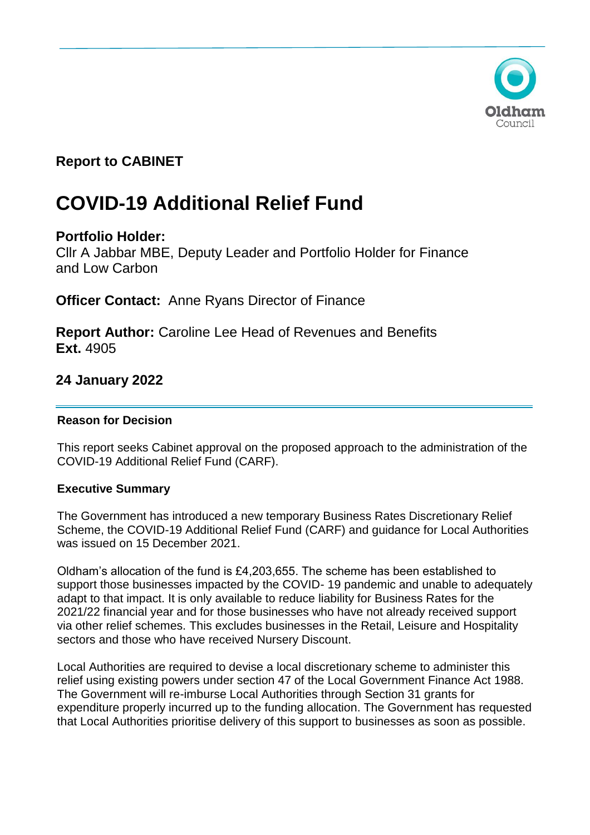

# **Report to CABINET**

# **COVID-19 Additional Relief Fund**

# **Portfolio Holder:**

Cllr A Jabbar MBE, Deputy Leader and Portfolio Holder for Finance and Low Carbon

**Officer Contact:** Anne Ryans Director of Finance

**Report Author:** Caroline Lee Head of Revenues and Benefits **Ext.** 4905

# **24 January 2022**

# **Reason for Decision**

This report seeks Cabinet approval on the proposed approach to the administration of the COVID-19 Additional Relief Fund (CARF).

# **Executive Summary**

The Government has introduced a new temporary Business Rates Discretionary Relief Scheme, the COVID-19 Additional Relief Fund (CARF) and guidance for Local Authorities was issued on 15 December 2021.

Oldham's allocation of the fund is £4,203,655. The scheme has been established to support those businesses impacted by the COVID- 19 pandemic and unable to adequately adapt to that impact. It is only available to reduce liability for Business Rates for the 2021/22 financial year and for those businesses who have not already received support via other relief schemes. This excludes businesses in the Retail, Leisure and Hospitality sectors and those who have received Nursery Discount.

Local Authorities are required to devise a local discretionary scheme to administer this relief using existing powers under section 47 of the Local Government Finance Act 1988. The Government will re-imburse Local Authorities through Section 31 grants for expenditure properly incurred up to the funding allocation. The Government has requested that Local Authorities prioritise delivery of this support to businesses as soon as possible.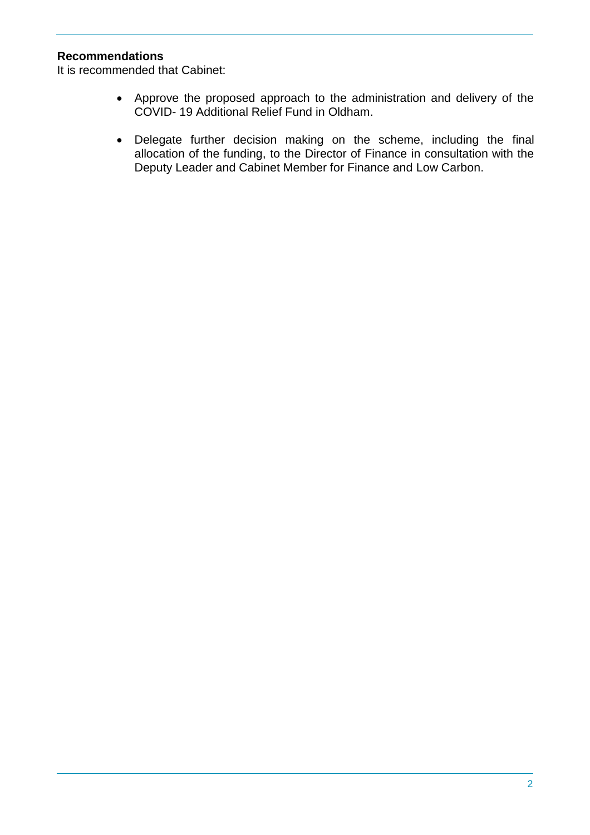# **Recommendations**

It is recommended that Cabinet:

- Approve the proposed approach to the administration and delivery of the COVID- 19 Additional Relief Fund in Oldham.
- Delegate further decision making on the scheme, including the final allocation of the funding, to the Director of Finance in consultation with the Deputy Leader and Cabinet Member for Finance and Low Carbon.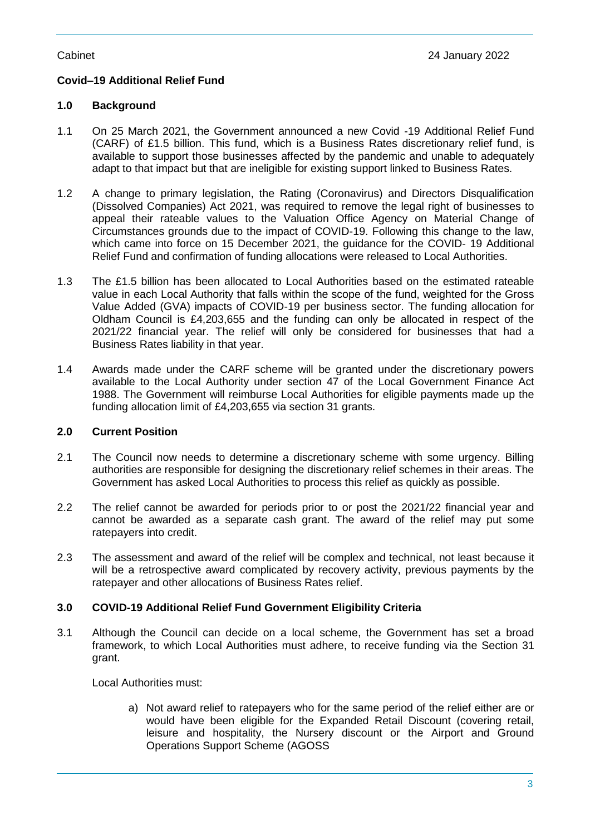# **Covid–19 Additional Relief Fund**

#### **1.0 Background**

- 1.1 On 25 March 2021, the Government announced a new Covid -19 Additional Relief Fund (CARF) of £1.5 billion. This fund, which is a Business Rates discretionary relief fund, is available to support those businesses affected by the pandemic and unable to adequately adapt to that impact but that are ineligible for existing support linked to Business Rates.
- 1.2 A change to primary legislation, the Rating (Coronavirus) and Directors Disqualification (Dissolved Companies) Act 2021, was required to remove the legal right of businesses to appeal their rateable values to the Valuation Office Agency on Material Change of Circumstances grounds due to the impact of COVID-19. Following this change to the law, which came into force on 15 December 2021, the guidance for the COVID- 19 Additional Relief Fund and confirmation of funding allocations were released to Local Authorities.
- 1.3 The £1.5 billion has been allocated to Local Authorities based on the estimated rateable value in each Local Authority that falls within the scope of the fund, weighted for the Gross Value Added (GVA) impacts of COVID-19 per business sector. The funding allocation for Oldham Council is £4,203,655 and the funding can only be allocated in respect of the 2021/22 financial year. The relief will only be considered for businesses that had a Business Rates liability in that year.
- 1.4 Awards made under the CARF scheme will be granted under the discretionary powers available to the Local Authority under section 47 of the Local Government Finance Act 1988. The Government will reimburse Local Authorities for eligible payments made up the funding allocation limit of £4,203,655 via section 31 grants.

#### **2.0 Current Position**

- 2.1 The Council now needs to determine a discretionary scheme with some urgency. Billing authorities are responsible for designing the discretionary relief schemes in their areas. The Government has asked Local Authorities to process this relief as quickly as possible.
- 2.2 The relief cannot be awarded for periods prior to or post the 2021/22 financial year and cannot be awarded as a separate cash grant. The award of the relief may put some ratepayers into credit.
- 2.3 The assessment and award of the relief will be complex and technical, not least because it will be a retrospective award complicated by recovery activity, previous payments by the ratepayer and other allocations of Business Rates relief.

# **3.0 COVID-19 Additional Relief Fund Government Eligibility Criteria**

3.1 Although the Council can decide on a local scheme, the Government has set a broad framework, to which Local Authorities must adhere, to receive funding via the Section 31 grant.

Local Authorities must:

a) Not award relief to ratepayers who for the same period of the relief either are or would have been eligible for the Expanded Retail Discount (covering retail, leisure and hospitality, the Nursery discount or the Airport and Ground Operations Support Scheme (AGOSS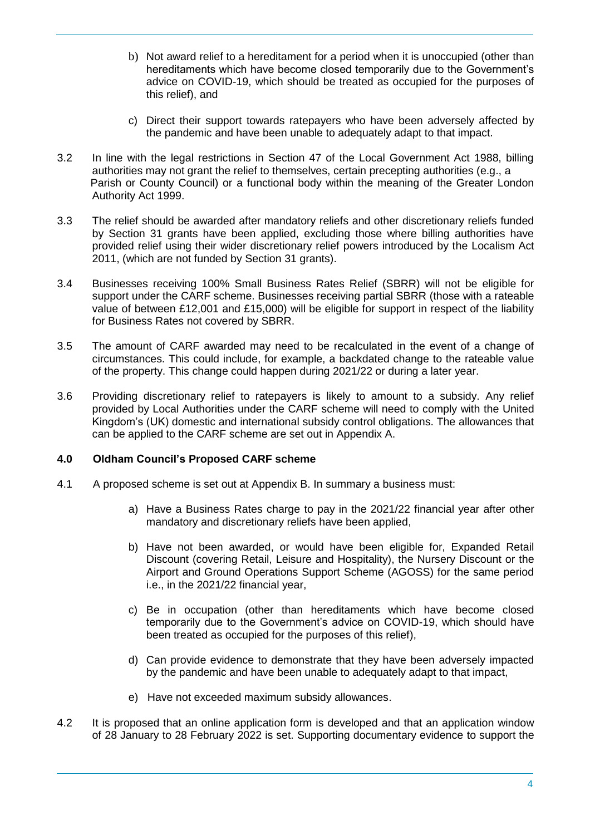- b) Not award relief to a hereditament for a period when it is unoccupied (other than hereditaments which have become closed temporarily due to the Government's advice on COVID-19, which should be treated as occupied for the purposes of this relief), and
- c) Direct their support towards ratepayers who have been adversely affected by the pandemic and have been unable to adequately adapt to that impact.
- 3.2 In line with the legal restrictions in Section 47 of the Local Government Act 1988, billing authorities may not grant the relief to themselves, certain precepting authorities (e.g., a Parish or County Council) or a functional body within the meaning of the Greater London Authority Act 1999.
- 3.3 The relief should be awarded after mandatory reliefs and other discretionary reliefs funded by Section 31 grants have been applied, excluding those where billing authorities have provided relief using their wider discretionary relief powers introduced by the Localism Act 2011, (which are not funded by Section 31 grants).
- 3.4 Businesses receiving 100% Small Business Rates Relief (SBRR) will not be eligible for support under the CARF scheme. Businesses receiving partial SBRR (those with a rateable value of between £12,001 and £15,000) will be eligible for support in respect of the liability for Business Rates not covered by SBRR.
- 3.5 The amount of CARF awarded may need to be recalculated in the event of a change of circumstances. This could include, for example, a backdated change to the rateable value of the property. This change could happen during 2021/22 or during a later year.
- 3.6 Providing discretionary relief to ratepayers is likely to amount to a subsidy. Any relief provided by Local Authorities under the CARF scheme will need to comply with the United Kingdom's (UK) domestic and international subsidy control obligations. The allowances that can be applied to the CARF scheme are set out in Appendix A.

#### **4.0 Oldham Council's Proposed CARF scheme**

- 4.1 A proposed scheme is set out at Appendix B. In summary a business must:
	- a) Have a Business Rates charge to pay in the 2021/22 financial year after other mandatory and discretionary reliefs have been applied,
	- b) Have not been awarded, or would have been eligible for, Expanded Retail Discount (covering Retail, Leisure and Hospitality), the Nursery Discount or the Airport and Ground Operations Support Scheme (AGOSS) for the same period i.e., in the 2021/22 financial year,
	- c) Be in occupation (other than hereditaments which have become closed temporarily due to the Government's advice on COVID-19, which should have been treated as occupied for the purposes of this relief),
	- d) Can provide evidence to demonstrate that they have been adversely impacted by the pandemic and have been unable to adequately adapt to that impact,
	- e) Have not exceeded maximum subsidy allowances.
- 4.2 It is proposed that an online application form is developed and that an application window of 28 January to 28 February 2022 is set. Supporting documentary evidence to support the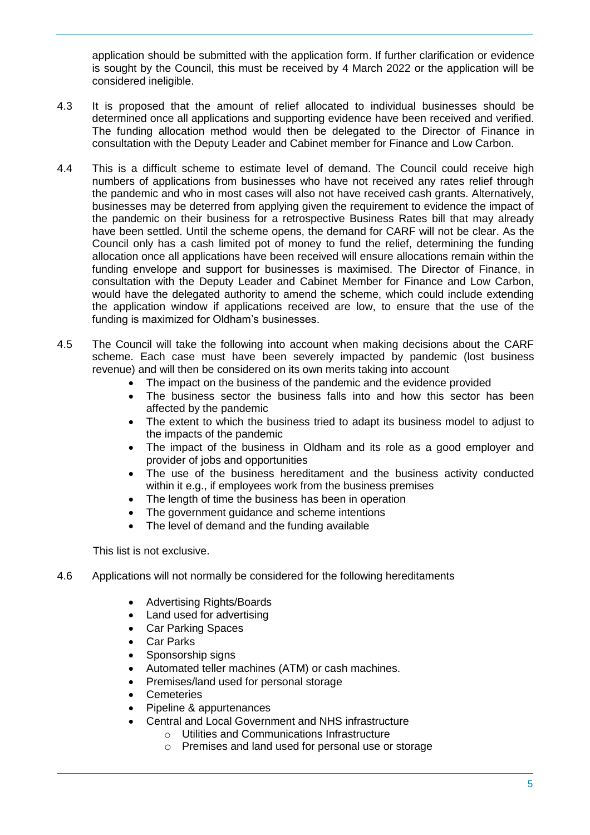application should be submitted with the application form. If further clarification or evidence is sought by the Council, this must be received by 4 March 2022 or the application will be considered ineligible.

- 4.3 It is proposed that the amount of relief allocated to individual businesses should be determined once all applications and supporting evidence have been received and verified. The funding allocation method would then be delegated to the Director of Finance in consultation with the Deputy Leader and Cabinet member for Finance and Low Carbon.
- 4.4 This is a difficult scheme to estimate level of demand. The Council could receive high numbers of applications from businesses who have not received any rates relief through the pandemic and who in most cases will also not have received cash grants. Alternatively, businesses may be deterred from applying given the requirement to evidence the impact of the pandemic on their business for a retrospective Business Rates bill that may already have been settled. Until the scheme opens, the demand for CARF will not be clear. As the Council only has a cash limited pot of money to fund the relief, determining the funding allocation once all applications have been received will ensure allocations remain within the funding envelope and support for businesses is maximised. The Director of Finance, in consultation with the Deputy Leader and Cabinet Member for Finance and Low Carbon, would have the delegated authority to amend the scheme, which could include extending the application window if applications received are low, to ensure that the use of the funding is maximized for Oldham's businesses.
- 4.5 The Council will take the following into account when making decisions about the CARF scheme. Each case must have been severely impacted by pandemic (lost business revenue) and will then be considered on its own merits taking into account
	- The impact on the business of the pandemic and the evidence provided
	- The business sector the business falls into and how this sector has been affected by the pandemic
	- The extent to which the business tried to adapt its business model to adjust to the impacts of the pandemic
	- The impact of the business in Oldham and its role as a good employer and provider of jobs and opportunities
	- The use of the business hereditament and the business activity conducted within it e.g., if employees work from the business premises
	- The length of time the business has been in operation
	- The government guidance and scheme intentions
	- The level of demand and the funding available

This list is not exclusive.

- 4.6 Applications will not normally be considered for the following hereditaments
	- Advertising Rights/Boards
	- Land used for advertising
	- Car Parking Spaces
	- Car Parks
	- Sponsorship signs
	- Automated teller machines (ATM) or cash machines.
	- Premises/land used for personal storage
	- **Cemeteries**
	- Pipeline & appurtenances
	- Central and Local Government and NHS infrastructure
		- o Utilities and Communications Infrastructure
		- o Premises and land used for personal use or storage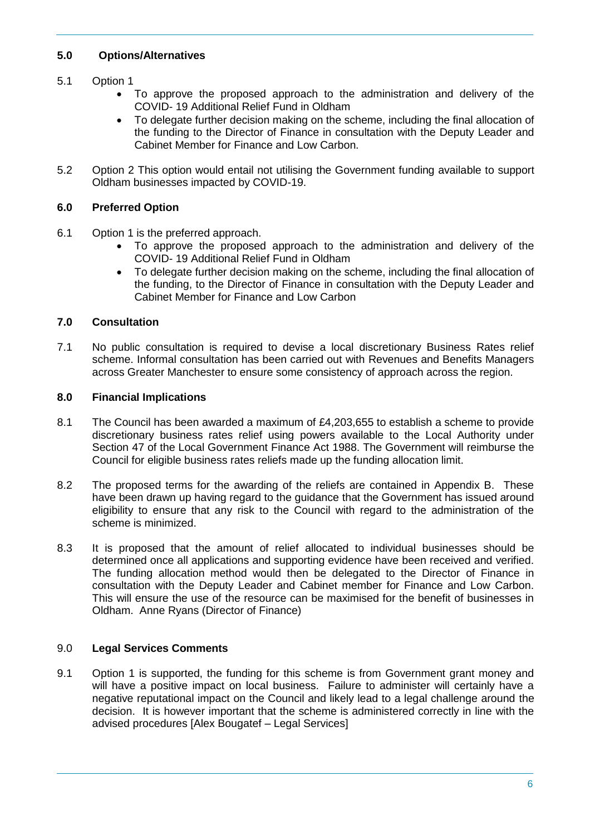# **5.0 Options/Alternatives**

# 5.1 Option 1

- To approve the proposed approach to the administration and delivery of the COVID- 19 Additional Relief Fund in Oldham
- To delegate further decision making on the scheme, including the final allocation of the funding to the Director of Finance in consultation with the Deputy Leader and Cabinet Member for Finance and Low Carbon.
- 5.2 Option 2 This option would entail not utilising the Government funding available to support Oldham businesses impacted by COVID-19.

## **6.0 Preferred Option**

- 6.1 Option 1 is the preferred approach.
	- To approve the proposed approach to the administration and delivery of the COVID- 19 Additional Relief Fund in Oldham
	- To delegate further decision making on the scheme, including the final allocation of the funding, to the Director of Finance in consultation with the Deputy Leader and Cabinet Member for Finance and Low Carbon

## **7.0 Consultation**

7.1 No public consultation is required to devise a local discretionary Business Rates relief scheme. Informal consultation has been carried out with Revenues and Benefits Managers across Greater Manchester to ensure some consistency of approach across the region.

## **8.0 Financial Implications**

- 8.1 The Council has been awarded a maximum of £4,203,655 to establish a scheme to provide discretionary business rates relief using powers available to the Local Authority under Section 47 of the Local Government Finance Act 1988. The Government will reimburse the Council for eligible business rates reliefs made up the funding allocation limit.
- 8.2 The proposed terms for the awarding of the reliefs are contained in Appendix B. These have been drawn up having regard to the guidance that the Government has issued around eligibility to ensure that any risk to the Council with regard to the administration of the scheme is minimized.
- 8.3 It is proposed that the amount of relief allocated to individual businesses should be determined once all applications and supporting evidence have been received and verified. The funding allocation method would then be delegated to the Director of Finance in consultation with the Deputy Leader and Cabinet member for Finance and Low Carbon. This will ensure the use of the resource can be maximised for the benefit of businesses in Oldham. Anne Ryans (Director of Finance)

#### 9.0 **Legal Services Comments**

9.1 Option 1 is supported, the funding for this scheme is from Government grant money and will have a positive impact on local business. Failure to administer will certainly have a negative reputational impact on the Council and likely lead to a legal challenge around the decision. It is however important that the scheme is administered correctly in line with the advised procedures [Alex Bougatef – Legal Services]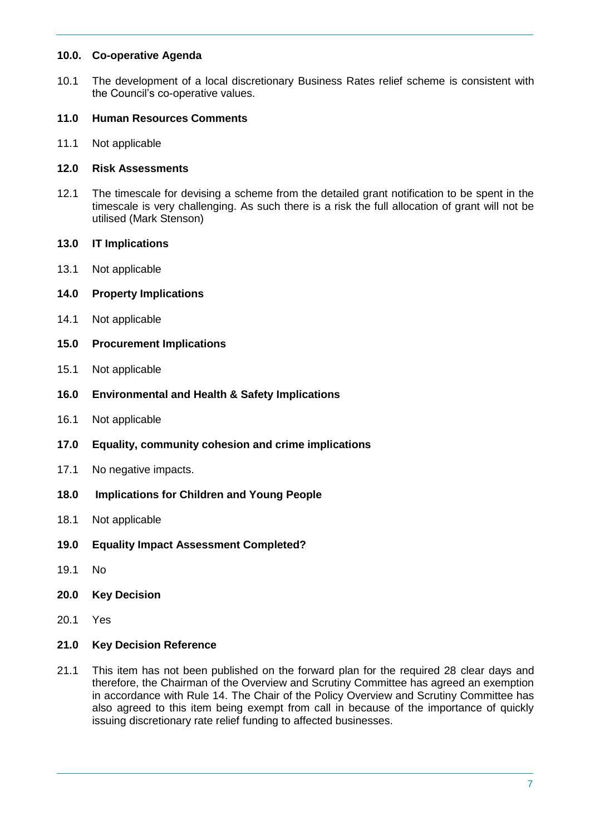#### **10.0. Co-operative Agenda**

10.1 The development of a local discretionary Business Rates relief scheme is consistent with the Council's co-operative values.

#### **11.0 Human Resources Comments**

11.1 Not applicable

#### **12.0 Risk Assessments**

- 12.1 The timescale for devising a scheme from the detailed grant notification to be spent in the timescale is very challenging. As such there is a risk the full allocation of grant will not be utilised (Mark Stenson)
- **13.0 IT Implications**
- 13.1 Not applicable
- **14.0 Property Implications**
- 14.1 Not applicable
- **15.0 Procurement Implications**
- 15.1 Not applicable
- **16.0 Environmental and Health & Safety Implications**
- 16.1 Not applicable
- **17.0 Equality, community cohesion and crime implications**
- 17.1 No negative impacts.
- **18.0 Implications for Children and Young People**
- 18.1 Not applicable
- **19.0 Equality Impact Assessment Completed?**
- 19.1 No
- **20.0 Key Decision**
- 20.1 Yes

#### **21.0 Key Decision Reference**

21.1 This item has not been published on the forward plan for the required 28 clear days and therefore, the Chairman of the Overview and Scrutiny Committee has agreed an exemption in accordance with Rule 14. The Chair of the Policy Overview and Scrutiny Committee has also agreed to this item being exempt from call in because of the importance of quickly issuing discretionary rate relief funding to affected businesses.